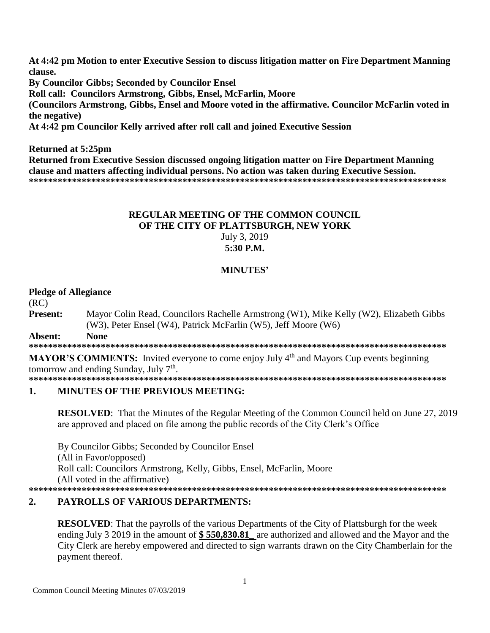At 4:42 pm Motion to enter Executive Session to discuss litigation matter on Fire Department Manning clause. **By Councilor Gibbs: Seconded by Councilor Ensel** Roll call: Councilors Armstrong, Gibbs, Ensel, McFarlin, Moore (Councilors Armstrong, Gibbs, Ensel and Moore voted in the affirmative. Councilor McFarlin voted in the negative) At 4:42 pm Councilor Kelly arrived after roll call and joined Executive Session

## **Returned at 5:25pm**

Returned from Executive Session discussed ongoing litigation matter on Fire Department Manning clause and matters affecting individual persons. No action was taken during Executive Session. 

## **REGULAR MEETING OF THE COMMON COUNCIL** OF THE CITY OF PLATTSBURGH, NEW YORK July 3, 2019 5:30 P.M.

## **MINUTES'**

### **Pledge of Allegiance**

 $(RC)$ 

**Present:** Mayor Colin Read, Councilors Rachelle Armstrong (W1), Mike Kelly (W2), Elizabeth Gibbs (W3), Peter Ensel (W4), Patrick McFarlin (W5), Jeff Moore (W6) **None** Absent:

**MAYOR'S COMMENTS:** Invited everyone to come enjoy July 4<sup>th</sup> and Mayors Cup events beginning tomorrow and ending Sunday, July  $7<sup>th</sup>$ .

#### **MINUTES OF THE PREVIOUS MEETING:**  $\mathbf{1}$ .

**RESOLVED:** That the Minutes of the Regular Meeting of the Common Council held on June 27, 2019 are approved and placed on file among the public records of the City Clerk's Office

By Councilor Gibbs; Seconded by Councilor Ensel (All in Favor/opposed) Roll call: Councilors Armstrong, Kelly, Gibbs, Ensel, McFarlin, Moore (All voted in the affirmative) 

### **PAYROLLS OF VARIOUS DEPARTMENTS:**  $\overline{2}$ .

**RESOLVED:** That the payrolls of the various Departments of the City of Plattsburgh for the week ending July 3 2019 in the amount of \$550,830.81 are authorized and allowed and the Mayor and the City Clerk are hereby empowered and directed to sign warrants drawn on the City Chamberlain for the payment thereof.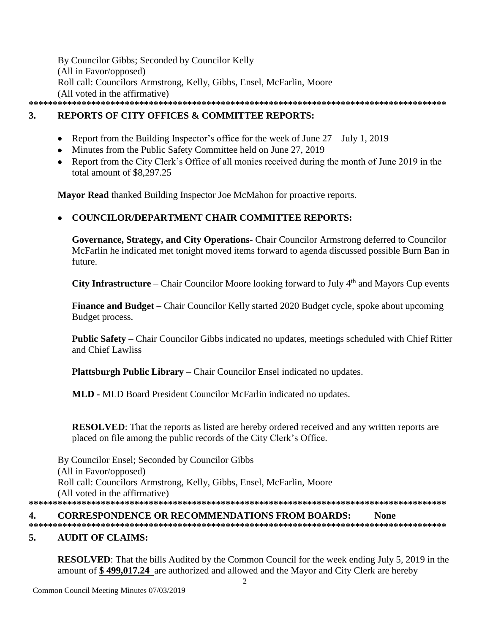By Councilor Gibbs; Seconded by Councilor Kelly (All in Favor/opposed) Roll call: Councilors Armstrong, Kelly, Gibbs, Ensel, McFarlin, Moore (All voted in the affirmative) **\*\*\*\*\*\*\*\*\*\*\*\*\*\*\*\*\*\*\*\*\*\*\*\*\*\*\*\*\*\*\*\*\*\*\*\*\*\*\*\*\*\*\*\*\*\*\*\*\*\*\*\*\*\*\*\*\*\*\*\*\*\*\*\*\*\*\*\*\*\*\*\*\*\*\*\*\*\*\*\*\*\*\*\*\*\*\***

## **3. REPORTS OF CITY OFFICES & COMMITTEE REPORTS:**

- Report from the Building Inspector's office for the week of June  $27 \text{July } 1,2019$
- Minutes from the Public Safety Committee held on June 27, 2019
- Report from the City Clerk's Office of all monies received during the month of June 2019 in the total amount of \$8,297.25

**Mayor Read** thanked Building Inspector Joe McMahon for proactive reports.

# **COUNCILOR/DEPARTMENT CHAIR COMMITTEE REPORTS:**

**Governance, Strategy, and City Operations**- Chair Councilor Armstrong deferred to Councilor McFarlin he indicated met tonight moved items forward to agenda discussed possible Burn Ban in future.

**City Infrastructure** – Chair Councilor Moore looking forward to July 4<sup>th</sup> and Mayors Cup events

**Finance and Budget –** Chair Councilor Kelly started 2020 Budget cycle, spoke about upcoming Budget process.

**Public Safety** – Chair Councilor Gibbs indicated no updates, meetings scheduled with Chief Ritter and Chief Lawliss

**Plattsburgh Public Library** – Chair Councilor Ensel indicated no updates.

**MLD -** MLD Board President Councilor McFarlin indicated no updates.

**RESOLVED**: That the reports as listed are hereby ordered received and any written reports are placed on file among the public records of the City Clerk's Office.

By Councilor Ensel; Seconded by Councilor Gibbs (All in Favor/opposed) Roll call: Councilors Armstrong, Kelly, Gibbs, Ensel, McFarlin, Moore (All voted in the affirmative) **\*\*\*\*\*\*\*\*\*\*\*\*\*\*\*\*\*\*\*\*\*\*\*\*\*\*\*\*\*\*\*\*\*\*\*\*\*\*\*\*\*\*\*\*\*\*\*\*\*\*\*\*\*\*\*\*\*\*\*\*\*\*\*\*\*\*\*\*\*\*\*\*\*\*\*\*\*\*\*\*\*\*\*\*\*\*\***

## **4. CORRESPONDENCE OR RECOMMENDATIONS FROM BOARDS: None**

**\*\*\*\*\*\*\*\*\*\*\*\*\*\*\*\*\*\*\*\*\*\*\*\*\*\*\*\*\*\*\*\*\*\*\*\*\*\*\*\*\*\*\*\*\*\*\*\*\*\*\*\*\*\*\*\*\*\*\*\*\*\*\*\*\*\*\*\*\*\*\*\*\*\*\*\*\*\*\*\*\*\*\*\*\*\*\***

## **5. AUDIT OF CLAIMS:**

**RESOLVED**: That the bills Audited by the Common Council for the week ending July 5, 2019 in the amount of **\$ 499,017.24** are authorized and allowed and the Mayor and City Clerk are hereby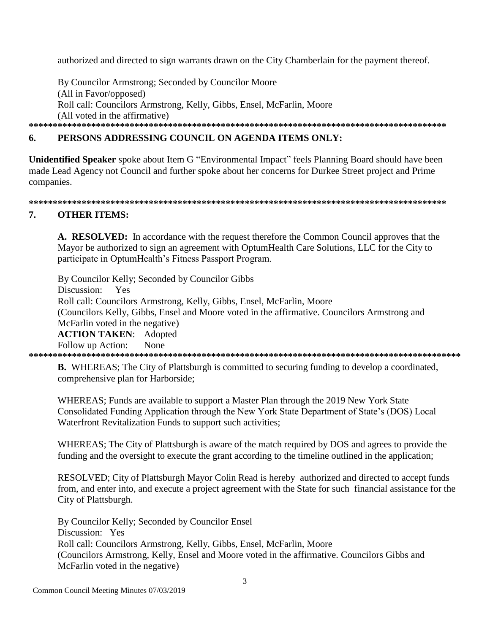authorized and directed to sign warrants drawn on the City Chamberlain for the payment thereof.

By Councilor Armstrong; Seconded by Councilor Moore (All in Favor/opposed) Roll call: Councilors Armstrong, Kelly, Gibbs, Ensel, McFarlin, Moore (All voted in the affirmative) 

### 6. PERSONS ADDRESSING COUNCIL ON AGENDA ITEMS ONLY:

Unidentified Speaker spoke about Item G "Environmental Impact" feels Planning Board should have been made Lead Agency not Council and further spoke about her concerns for Durkee Street project and Prime companies.

### 

#### $7<sub>1</sub>$ **OTHER ITEMS:**

A. RESOLVED: In accordance with the request therefore the Common Council approves that the Mayor be authorized to sign an agreement with OptumHealth Care Solutions, LLC for the City to participate in OptumHealth's Fitness Passport Program.

By Councilor Kelly; Seconded by Councilor Gibbs Discussion: Yes Roll call: Councilors Armstrong, Kelly, Gibbs, Ensel, McFarlin, Moore (Councilors Kelly, Gibbs, Ensel and Moore voted in the affirmative. Councilors Armstrong and McFarlin voted in the negative) **ACTION TAKEN: Adopted** Follow up Action: None

**B.** WHEREAS; The City of Plattsburgh is committed to securing funding to develop a coordinated, comprehensive plan for Harborside;

WHEREAS; Funds are available to support a Master Plan through the 2019 New York State Consolidated Funding Application through the New York State Department of State's (DOS) Local Waterfront Revitalization Funds to support such activities;

WHEREAS; The City of Plattsburgh is aware of the match required by DOS and agrees to provide the funding and the oversight to execute the grant according to the timeline outlined in the application;

RESOLVED; City of Plattsburgh Mayor Colin Read is hereby authorized and directed to accept funds from, and enter into, and execute a project agreement with the State for such financial assistance for the City of Plattsburgh.

By Councilor Kelly; Seconded by Councilor Ensel Discussion: Yes Roll call: Councilors Armstrong, Kelly, Gibbs, Ensel, McFarlin, Moore (Councilors Armstrong, Kelly, Ensel and Moore voted in the affirmative. Councilors Gibbs and McFarlin voted in the negative)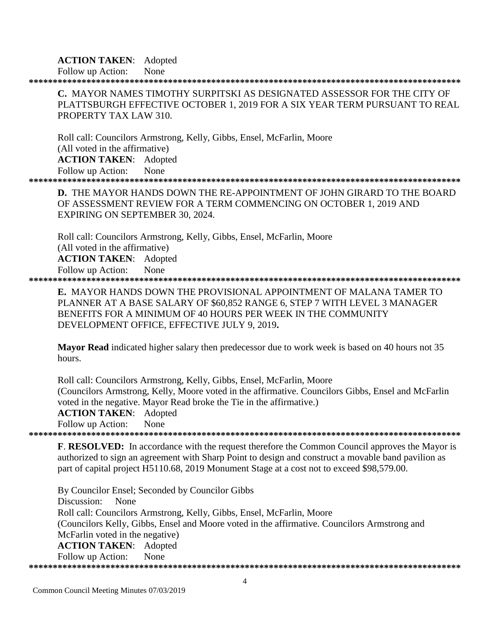## **ACTION TAKEN**: Adopted

Follow up Action: None

**\*\*\*\*\*\*\*\*\*\*\*\*\*\*\*\*\*\*\*\*\*\*\*\*\*\*\*\*\*\*\*\*\*\*\*\*\*\*\*\*\*\*\*\*\*\*\*\*\*\*\*\*\*\*\*\*\*\*\*\*\*\*\*\*\*\*\*\*\*\*\*\*\*\*\*\*\*\*\*\*\*\*\*\*\*\*\*\*\*\***

**C.** MAYOR NAMES TIMOTHY SURPITSKI AS DESIGNATED ASSESSOR FOR THE CITY OF PLATTSBURGH EFFECTIVE OCTOBER 1, 2019 FOR A SIX YEAR TERM PURSUANT TO REAL PROPERTY TAX LAW 310.

Roll call: Councilors Armstrong, Kelly, Gibbs, Ensel, McFarlin, Moore (All voted in the affirmative) **ACTION TAKEN**: Adopted Follow up Action: None **\*\*\*\*\*\*\*\*\*\*\*\*\*\*\*\*\*\*\*\*\*\*\*\*\*\*\*\*\*\*\*\*\*\*\*\*\*\*\*\*\*\*\*\*\*\*\*\*\*\*\*\*\*\*\*\*\*\*\*\*\*\*\*\*\*\*\*\*\*\*\*\*\*\*\*\*\*\*\*\*\*\*\*\*\*\*\*\*\*\***

**D.** THE MAYOR HANDS DOWN THE RE-APPOINTMENT OF JOHN GIRARD TO THE BOARD OF ASSESSMENT REVIEW FOR A TERM COMMENCING ON OCTOBER 1, 2019 AND EXPIRING ON SEPTEMBER 30, 2024.

Roll call: Councilors Armstrong, Kelly, Gibbs, Ensel, McFarlin, Moore (All voted in the affirmative) **ACTION TAKEN**: Adopted Follow up Action: None

**\*\*\*\*\*\*\*\*\*\*\*\*\*\*\*\*\*\*\*\*\*\*\*\*\*\*\*\*\*\*\*\*\*\*\*\*\*\*\*\*\*\*\*\*\*\*\*\*\*\*\*\*\*\*\*\*\*\*\*\*\*\*\*\*\*\*\*\*\*\*\*\*\*\*\*\*\*\*\*\*\*\*\*\*\*\*\*\*\*\***

**E.** MAYOR HANDS DOWN THE PROVISIONAL APPOINTMENT OF MALANA TAMER TO PLANNER AT A BASE SALARY OF \$60,852 RANGE 6, STEP 7 WITH LEVEL 3 MANAGER BENEFITS FOR A MINIMUM OF 40 HOURS PER WEEK IN THE COMMUNITY DEVELOPMENT OFFICE, EFFECTIVE JULY 9, 2019**.**

**Mayor Read** indicated higher salary then predecessor due to work week is based on 40 hours not 35 hours.

Roll call: Councilors Armstrong, Kelly, Gibbs, Ensel, McFarlin, Moore (Councilors Armstrong, Kelly, Moore voted in the affirmative. Councilors Gibbs, Ensel and McFarlin voted in the negative. Mayor Read broke the Tie in the affirmative.) **ACTION TAKEN**: Adopted Follow up Action: None

**\*\*\*\*\*\*\*\*\*\*\*\*\*\*\*\*\*\*\*\*\*\*\*\*\*\*\*\*\*\*\*\*\*\*\*\*\*\*\*\*\*\*\*\*\*\*\*\*\*\*\*\*\*\*\*\*\*\*\*\*\*\*\*\*\*\*\*\*\*\*\*\*\*\*\*\*\*\*\*\*\*\*\*\*\*\*\*\*\*\***

**F**. **RESOLVED:** In accordance with the request therefore the Common Council approves the Mayor is authorized to sign an agreement with Sharp Point to design and construct a movable band pavilion as part of capital project H5110.68, 2019 Monument Stage at a cost not to exceed \$98,579.00.

By Councilor Ensel; Seconded by Councilor Gibbs Discussion: None Roll call: Councilors Armstrong, Kelly, Gibbs, Ensel, McFarlin, Moore (Councilors Kelly, Gibbs, Ensel and Moore voted in the affirmative. Councilors Armstrong and McFarlin voted in the negative) **ACTION TAKEN**: Adopted Follow up Action: None **\*\*\*\*\*\*\*\*\*\*\*\*\*\*\*\*\*\*\*\*\*\*\*\*\*\*\*\*\*\*\*\*\*\*\*\*\*\*\*\*\*\*\*\*\*\*\*\*\*\*\*\*\*\*\*\*\*\*\*\*\*\*\*\*\*\*\*\*\*\*\*\*\*\*\*\*\*\*\*\*\*\*\*\*\*\*\*\*\*\***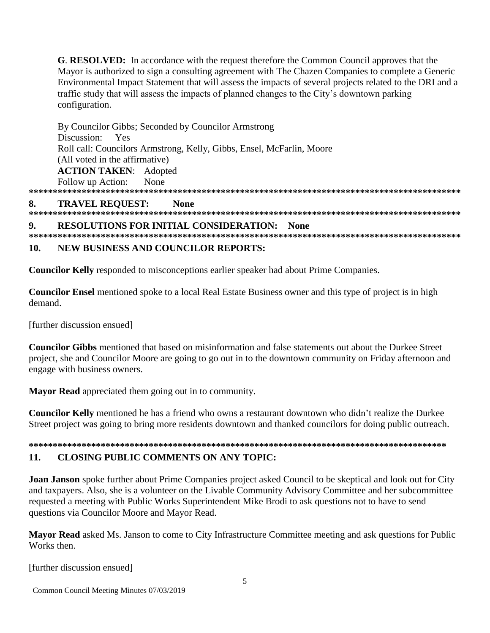**G. RESOLVED:** In accordance with the request therefore the Common Council approves that the Mayor is authorized to sign a consulting agreement with The Chazen Companies to complete a Generic Environmental Impact Statement that will assess the impacts of several projects related to the DRI and a traffic study that will assess the impacts of planned changes to the City's downtown parking configuration.

By Councilor Gibbs; Seconded by Councilor Armstrong Discussion: Yes Roll call: Councilors Armstrong, Kelly, Gibbs, Ensel, McFarlin, Moore (All voted in the affirmative) **ACTION TAKEN: Adopted** Follow up Action: None

#### **TRAVEL REQUEST:** 8. **None**

**RESOLUTIONS FOR INITIAL CONSIDERATION: None** 9.

#### **NEW BUSINESS AND COUNCILOR REPORTS:**  $10.$

Councilor Kelly responded to misconceptions earlier speaker had about Prime Companies.

**Councilor Ensel** mentioned spoke to a local Real Estate Business owner and this type of project is in high demand.

[further discussion ensued]

**Councilor Gibbs** mentioned that based on misinformation and false statements out about the Durkee Street project, she and Councilor Moore are going to go out in to the downtown community on Friday afternoon and engage with business owners.

Mayor Read appreciated them going out in to community.

**Councilor Kelly** mentioned he has a friend who owns a restaurant downtown who didn't realize the Durkee Street project was going to bring more residents downtown and thanked councilors for doing public outreach.

### **CLOSING PUBLIC COMMENTS ON ANY TOPIC:**  $11.$

**Joan Janson** spoke further about Prime Companies project asked Council to be skeptical and look out for City and taxpayers. Also, she is a volunteer on the Livable Community Advisory Committee and her subcommittee requested a meeting with Public Works Superintendent Mike Brodi to ask questions not to have to send questions via Councilor Moore and Mayor Read.

Mayor Read asked Ms. Janson to come to City Infrastructure Committee meeting and ask questions for Public Works then.

[further discussion ensued]